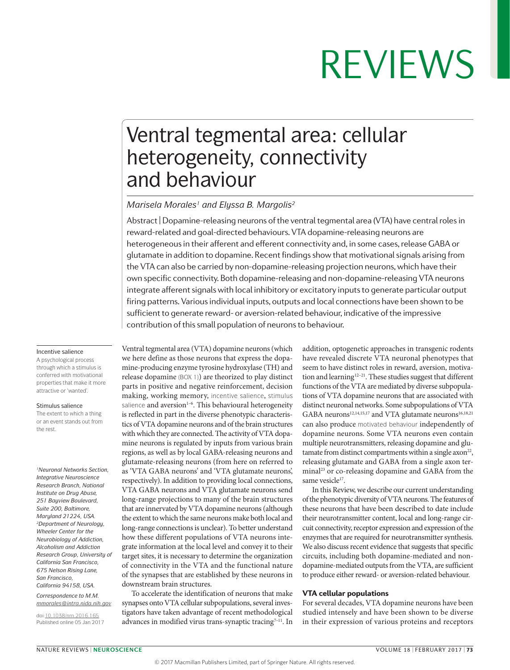## Ventral tegmental area: cellular heterogeneity, connectivity and behaviour

#### *Marisela Morales1 and Elyssa B. Margolis2*

Abstract | Dopamine-releasing neurons of the ventral tegmental area (VTA) have central roles in reward-related and goal-directed behaviours. VTA dopamine-releasing neurons are heterogeneous in their afferent and efferent connectivity and, in some cases, release GABA or glutamate in addition to dopamine. Recent findings show that motivational signals arising from the VTA can also be carried by non-dopamine-releasing projection neurons, which have their own specific connectivity. Both dopamine-releasing and non-dopamine-releasing VTA neurons integrate afferent signals with local inhibitory or excitatory inputs to generate particular output firing patterns. Various individual inputs, outputs and local connections have been shown to be sufficient to generate reward- or aversion-related behaviour, indicative of the impressive contribution of this small population of neurons to behaviour.

#### Incentive salience

A psychological process through which a stimulus is conferred with motivational properties that make it more attractive or 'wanted'.

#### Stimulus salience

The extent to which a thing or an event stands out from the rest.

*1Neuronal Networks Section, Integrative Neuroscience Research Branch, National Institute on Drug Abuse, 251 Bayview Boulevard, Suite 200, Baltimore, Maryland 21224, USA. 2Department of Neurology, Wheeler Center for the Neurobiology of Addiction, Alcoholism and Addiction Research Group, University of California San Francisco, 675 Nelson Rising Lane, San Francisco, California 94158, USA.*

*Correspondence to M.M. [mmorales@intra.nida.nih.gov](mailto:mmorales%40intra.nida.nih.gov?subject=)*

doi:[10.1038/nrn.2016.165](http://dx.doi.org/10.1038/nrn.2016.165) Published online 05 Jan 2017

Ventral tegmental area (VTA) dopamine neurons (which we here define as those neurons that express the dopamine-producing enzyme tyrosine hydroxylase (TH) and release dopamine (BOX 1)) are theorized to play distinct parts in positive and negative reinforcement, decision making, working memory, incentive salience, stimulus salience and aversion<sup>1-6</sup>. This behavioural heterogeneity is reflected in part in the diverse phenotypic characteristics of VTA dopamine neurons and of the brain structures with which they are connected. The activity of VTA dopamine neurons is regulated by inputs from various brain regions, as well as by local GABA-releasing neurons and glutamate-releasing neurons (from here on referred to as 'VTA GABA neurons' and 'VTA glutamate neurons', respectively). In addition to providing local connections, VTA GABA neurons and VTA glutamate neurons send long-range projections to many of the brain structures that are innervated by VTA dopamine neurons (although the extent to which the same neurons make both local and long-range connections is unclear). To better understand how these different populations of VTA neurons integrate information at the local level and convey it to their target sites, it is necessary to determine the organization of connectivity in the VTA and the functional nature of the synapses that are established by these neurons in downstream brain structures.

To accelerate the identification of neurons that make synapses onto VTA cellular subpopulations, several investigators have taken advantage of recent methodological advances in modified virus trans-synaptic tracing<sup>7-11</sup>. In addition, optogenetic approaches in transgenic rodents have revealed discrete VTA neuronal phenotypes that seem to have distinct roles in reward, aversion, motivation and learning<sup>12-21</sup>. These studies suggest that different functions of the VTA are mediated by diverse subpopulations of VTA dopamine neurons that are associated with distinct neuronal networks. Some subpopulations of VTA GABA neurons<sup>12,14,15,17</sup> and VTA glutamate neurons<sup>16,18,21</sup> can also produce motivated behaviour independently of dopamine neurons. Some VTA neurons even contain multiple neurotransmitters, releasing dopamine and glutamate from distinct compartments within a single  $axon<sup>22</sup>$ , releasing glutamate and GABA from a single axon terminal<sup>23</sup> or co-releasing dopamine and GABA from the same vesicle<sup>17</sup>.

In this Review, we describe our current understanding of the phenotypic diversity of VTA neurons. The features of these neurons that have been described to date include their neurotransmitter content, local and long-range circuit connectivity, receptor expression and expression of the enzymes that are required for neurotransmitter synthesis. We also discuss recent evidence that suggests that specific circuits, including both dopamine-mediated and nondopamine-mediated outputs from the VTA, are sufficient to produce either reward- or aversion-related behaviour.

#### VTA cellular populations

For several decades, VTA dopamine neurons have been studied intensely and have been shown to be diverse in their expression of various proteins and receptors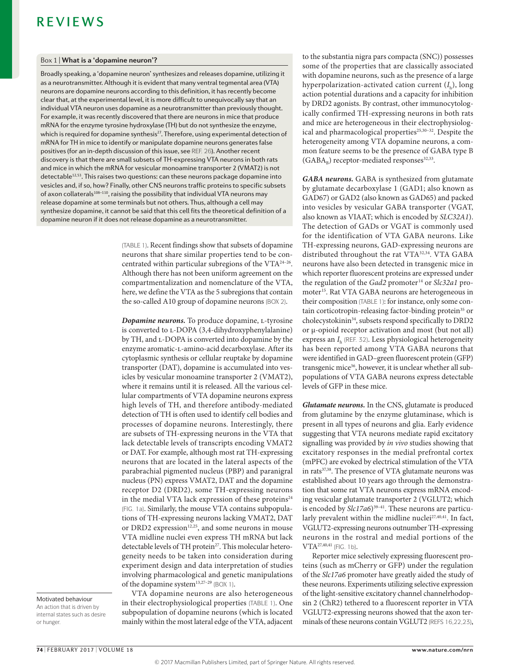#### Box 1 | **What is a 'dopamine neuron'?**

Broadly speaking, a 'dopamine neuron' synthesizes and releases dopamine, utilizing it as a neurotransmitter. Although it is evident that many ventral tegmental area (VTA) neurons are dopamine neurons according to this definition, it has recently become clear that, at the experimental level, it is more difficult to unequivocally say that an individual VTA neuron uses dopamine as a neurotransmitter than previously thought. For example, it was recently discovered that there are neurons in mice that produce mRNA for the enzyme tyrosine hydroxylase (TH) but do not synthesize the enzyme, which is required for dopamine synthesis<sup>27</sup>. Therefore, using experimental detection of mRNA for TH in mice to identify or manipulate dopamine neurons generates false positives (for an in‑depth discussion of this issue, see REF. 26). Another recent discovery is that there are small subsets of TH‑expressing VTA neurons in both rats and mice in which the mRNA for vesicular monoamine transporter 2 (VMAT2) is not detectable<sup>12,53</sup>. This raises two questions: can these neurons package dopamine into vesicles and, if so, how? Finally, other CNS neurons traffic proteins to specific subsets of axon collaterals<sup>108-110</sup>, raising the possibility that individual VTA neurons may release dopamine at some terminals but not others. Thus, although a cell may synthesize dopamine, it cannot be said that this cell fits the theoretical definition of a dopamine neuron if it does not release dopamine as a neurotransmitter.

> (TABLE 1). Recent findings show that subsets of dopamine neurons that share similar properties tend to be concentrated within particular subregions of the VTA24–26. Although there has not been uniform agreement on the compartmentalization and nomenclature of the VTA, here, we define the VTA as the 5 subregions that contain the so-called A10 group of dopamine neurons (BOX 2).

> *Dopamine neurons.* To produce dopamine, *L*-tyrosine is converted to L-DOPA (3,4-dihydroxyphenylalanine) by TH, and L-DOPA is converted into dopamine by the enzyme aromatic-l-amino-acid decarboxylase. After its cytoplasmic synthesis or cellular reuptake by dopamine transporter (DAT), dopamine is accumulated into vesicles by vesicular monoamine transporter 2 (VMAT2), where it remains until it is released. All the various cellular compartments of VTA dopamine neurons express high levels of TH, and therefore antibody-mediated detection of TH is often used to identify cell bodies and processes of dopamine neurons. Interestingly, there are subsets of TH-expressing neurons in the VTA that lack detectable levels of transcripts encoding VMAT2 or DAT. For example, although most rat TH-expressing neurons that are located in the lateral aspects of the parabrachial pigmented nucleus (PBP) and paranigral nucleus (PN) express VMAT2, DAT and the dopamine receptor D2 (DRD2), some TH-expressing neurons in the medial VTA lack expression of these proteins<sup>24</sup> (FIG. 1a). Similarly, the mouse VTA contains subpopulations of TH-expressing neurons lacking VMAT2, DAT or DRD2 expression<sup>12,25</sup>, and some neurons in mouse VTA midline nuclei even express TH mRNA but lack detectable levels of TH protein<sup>27</sup>. This molecular heterogeneity needs to be taken into consideration during experiment design and data interpretation of studies involving pharmacological and genetic manipulations of the dopamine system<sup>13,27-29</sup> (BOX 1).

Motivated behaviour An action that is driven by internal states such as desire or hunger.

VTA dopamine neurons are also heterogeneous in their electrophysiological properties (TABLE 1). One subpopulation of dopamine neurons (which is located mainly within the most lateral edge of the VTA, adjacent to the substantia nigra pars compacta (SNC)) possesses some of the properties that are classically associated with dopamine neurons, such as the presence of a large hyperpolarization-activated cation current  $(I_h)$ , long action potential durations and a capacity for inhibition by DRD2 agonists. By contrast, other immunocytologically confirmed TH-expressing neurons in both rats and mice are heterogeneous in their electrophysiological and pharmacological properties<sup>25,30-32</sup>. Despite the heterogeneity among VTA dopamine neurons, a common feature seems to be the presence of GABA type B  $(GABA_n)$  receptor-mediated responses<sup>32,33</sup>.

*GABA neurons.* GABA is synthesized from glutamate by glutamate decarboxylase 1 (GAD1; also known as GAD67) or GAD2 (also known as GAD65) and packed into vesicles by vesicular GABA transporter (VGAT, also known as VIAAT; which is encoded by *SLC32A1*). The detection of GADs or VGAT is commonly used for the identification of VTA GABA neurons. Like TH-expressing neurons, GAD-expressing neurons are distributed throughout the rat VTA<sup>32,34</sup>. VTA GABA neurons have also been detected in transgenic mice in which reporter fluorescent proteins are expressed under the regulation of the *Gad2* promoter<sup>14</sup> or *Slc32a1* promoter<sup>15</sup>. Rat VTA GABA neurons are heterogeneous in their composition (TABLE 1): for instance, only some contain corticotropin-releasing factor-binding protein<sup>35</sup> or cholecystokinin<sup>34</sup>, subsets respond specifically to DRD2 or μ-opioid receptor activation and most (but not all) express an *I*<sup>h</sup> (REF. 32). Less physiological heterogeneity has been reported among VTA GABA neurons that were identified in GAD–green fluorescent protein (GFP) transgenic mice<sup>36</sup>, however, it is unclear whether all subpopulations of VTA GABA neurons express detectable levels of GFP in these mice.

*Glutamate neurons.* In the CNS, glutamate is produced from glutamine by the enzyme glutaminase, which is present in all types of neurons and glia. Early evidence suggesting that VTA neurons mediate rapid excitatory signalling was provided by *in vivo* studies showing that excitatory responses in the medial prefrontal cortex (mPFC) are evoked by electrical stimulation of the VTA in rats<sup>37,38</sup>. The presence of VTA glutamate neurons was established about 10 years ago through the demonstration that some rat VTA neurons express mRNA encoding vesicular glutamate transporter 2 (VGLUT2; which is encoded by *Slc17a6*)<sup>39-41</sup>. These neurons are particularly prevalent within the midline nuclei<sup>27,40,41</sup>. In fact, VGLUT2-expressing neurons outnumber TH-expressing neurons in the rostral and medial portions of the VTA27,40,41 (FIG. 1b).

Reporter mice selectively expressing fluorescent proteins (such as mCherry or GFP) under the regulation of the *Slc17a6* promoter have greatly aided the study of these neurons. Experiments utilizing selective expression of the light-sensitive excitatory channel channelrhodopsin 2 (ChR2) tethered to a fluorescent reporter in VTA VGLUT2-expressing neurons showed that the axon terminals of these neurons contain VGLUT2 (REFS 16,22,23),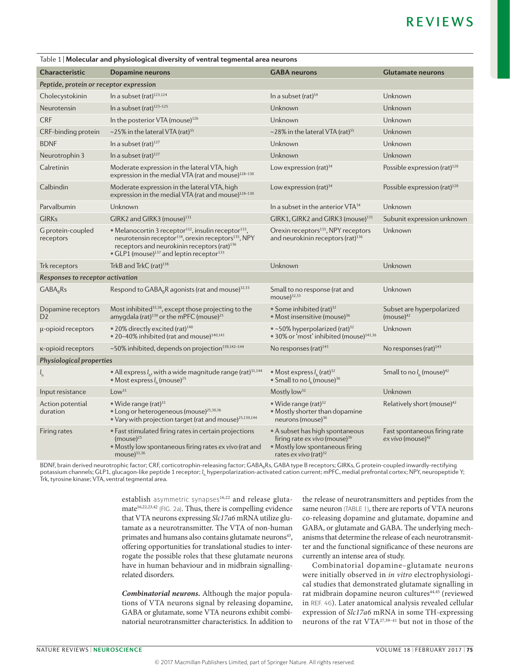| Table 1   Molecular and physiological diversity of ventral tegmental area neurons |                                                                                                                                                                                                                                                                                            |                                                                                                                                                        |                                                        |
|-----------------------------------------------------------------------------------|--------------------------------------------------------------------------------------------------------------------------------------------------------------------------------------------------------------------------------------------------------------------------------------------|--------------------------------------------------------------------------------------------------------------------------------------------------------|--------------------------------------------------------|
| <b>Characteristic</b>                                                             | <b>Dopamine neurons</b>                                                                                                                                                                                                                                                                    | <b>GABA</b> neurons                                                                                                                                    | <b>Glutamate neurons</b>                               |
| Peptide, protein or receptor expression                                           |                                                                                                                                                                                                                                                                                            |                                                                                                                                                        |                                                        |
| Cholecystokinin                                                                   | In a subset (rat) <sup>123,124</sup>                                                                                                                                                                                                                                                       | In a subset (rat) $34$                                                                                                                                 | Unknown                                                |
| Neurotensin                                                                       | In a subset (rat) <sup>123-125</sup>                                                                                                                                                                                                                                                       | Unknown                                                                                                                                                | Unknown                                                |
| <b>CRF</b>                                                                        | In the posterior VTA (mouse) <sup>126</sup>                                                                                                                                                                                                                                                | Unknown                                                                                                                                                | Unknown                                                |
| CRF-binding protein                                                               | $\sim$ 25% in the lateral VTA (rat) <sup>35</sup>                                                                                                                                                                                                                                          | $\sim$ 28% in the lateral VTA (rat) <sup>35</sup>                                                                                                      | Unknown                                                |
| <b>BDNF</b>                                                                       | In a subset (rat) $127$                                                                                                                                                                                                                                                                    | Unknown                                                                                                                                                | Unknown                                                |
| Neurotrophin 3                                                                    | In a subset (rat) $127$                                                                                                                                                                                                                                                                    | Unknown                                                                                                                                                | Unknown                                                |
| Calretinin                                                                        | Moderate expression in the lateral VTA, high<br>expression in the medial VTA (rat and mouse) <sup>128-130</sup>                                                                                                                                                                            | Low expression (rat) <sup>34</sup>                                                                                                                     | Possible expression (rat) <sup>128</sup>               |
| Calbindin                                                                         | Moderate expression in the lateral VTA, high<br>expression in the medial VTA (rat and mouse) <sup>128-130</sup>                                                                                                                                                                            | Low expression (rat) <sup>34</sup>                                                                                                                     | Possible expression (rat) <sup>128</sup>               |
| Parvalbumin                                                                       | Unknown                                                                                                                                                                                                                                                                                    | In a subset in the anterior VTA <sup>34</sup>                                                                                                          | Unknown                                                |
| <b>GIRKs</b>                                                                      | GIRK2 and GIRK3 (mouse) <sup>131</sup>                                                                                                                                                                                                                                                     | GIRK1, GIRK2 and GIRK3 (mouse) <sup>131</sup>                                                                                                          | Subunit expression unknown                             |
| G protein-coupled<br>receptors                                                    | • Melanocortin 3 receptor <sup>132</sup> , insulin receptor <sup>133</sup> ,<br>neurotensin receptor <sup>134</sup> , orexin receptors <sup>135</sup> , NPY<br>receptors and neurokinin receptors (rat) <sup>136</sup><br>• GLP1 (mouse) <sup>137</sup> and leptin receptor <sup>133</sup> | Orexin receptors <sup>135</sup> , NPY receptors<br>and neurokinin receptors (rat) <sup>136</sup>                                                       | Unknown                                                |
| Trk receptors                                                                     | TrkB and TrkC (rat) <sup>138</sup>                                                                                                                                                                                                                                                         | Unknown                                                                                                                                                | Unknown                                                |
| Responses to receptor activation                                                  |                                                                                                                                                                                                                                                                                            |                                                                                                                                                        |                                                        |
| $GABA_RRS$                                                                        | Respond to $GABA_RR$ agonists (rat and mouse) <sup>32,33</sup>                                                                                                                                                                                                                             | Small to no response (rat and<br>mouse) <sup>32,33</sup>                                                                                               | Unknown                                                |
| Dopamine receptors<br>D <sub>2</sub>                                              | Most inhibited <sup>31,36</sup> , except those projecting to the<br>amygdala (rat) <sup>139</sup> or the mPFC (mouse) <sup>25</sup>                                                                                                                                                        | • Some inhibited (rat) $32$<br>• Most insensitive (mouse) <sup>36</sup>                                                                                | Subset are hyperpolarized<br>$(mouse)^{42}$            |
| µ-opioid receptors                                                                | • 20% directly excited (rat) <sup>140</sup><br>• 20-40% inhibited (rat and mouse) <sup>140,141</sup>                                                                                                                                                                                       | $\bullet$ ~50% hyperpolarized (rat) <sup>32</sup><br>• 30% or 'most' inhibited (mouse) <sup>141,36</sup>                                               | Unknown                                                |
| <b>K-opioid receptors</b>                                                         | ~50% inhibited, depends on projection <sup>139,142-144</sup>                                                                                                                                                                                                                               | No responses (rat) $143$                                                                                                                               | No responses (rat) $143$                               |
| Physiological properties                                                          |                                                                                                                                                                                                                                                                                            |                                                                                                                                                        |                                                        |
| $I_{h}$                                                                           | • All express $I_{1}$ , with a wide magnitude range (rat) <sup>31,144</sup><br>• Most express $Ih$ (mouse) <sup>25</sup>                                                                                                                                                                   | • Most express $I_h$ (rat) <sup>32</sup><br>• Small to no $Ih$ (mouse) <sup>36</sup>                                                                   | Small to no $I_h$ (mouse) <sup>42</sup>                |
| Input resistance                                                                  | Low <sup>31</sup>                                                                                                                                                                                                                                                                          | Mostly low <sup>32</sup>                                                                                                                               | Unknown                                                |
| Action potential<br>duration                                                      | • Wide range (rat) $31$<br>· Long or heterogeneous (mouse) <sup>25,30,36</sup><br>• Vary with projection target (rat and mouse) <sup>25,139,144</sup>                                                                                                                                      | • Wide range (rat) $32$<br>• Mostly shorter than dopamine<br>neurons (mouse) $36$                                                                      | Relatively short (mouse) <sup>42</sup>                 |
| Firing rates                                                                      | • Fast stimulated firing rates in certain projections<br>$(mouse)^{25}$<br>• Mostly low spontaneous firing rates ex vivo (rat and<br>mouse $)^{31,36}$                                                                                                                                     | • A subset has high spontaneous<br>firing rate ex vivo (mouse) <sup>36</sup><br>• Mostly low spontaneous firing<br>rates $ex$ vivo (rat) <sup>32</sup> | Fast spontaneous firing rate<br>$ex$ vivo (mouse) $42$ |
|                                                                                   |                                                                                                                                                                                                                                                                                            |                                                                                                                                                        |                                                        |

BDNF, brain derived neurotrophic factor; CRF, corticotrophin-releasing factor; GABA<sub>G</sub>RS, GABA type B receptors; GIRKs, G protein-coupled inwardly-rectifying potassium channels; GLP1, glucagon-like peptide 1 receptor; /<sub>h,</sub> hyperpolarization-activated cation current; mPFC, medial prefrontal cortex; NPY, neuropeptide Y; Trk, tyrosine kinase; VTA, ventral tegmental area.

> establish asymmetric synapses<sup>16,22</sup> and release glutamate<sup>16,22,23,42</sup> (FIG. 2a). Thus, there is compelling evidence that VTA neurons expressing *Slc17a6* mRNA utilize glutamate as a neurotransmitter. The VTA of non-human primates and humans also contains glutamate neurons<sup>43</sup>, offering opportunities for translational studies to interrogate the possible roles that these glutamate neurons have in human behaviour and in midbrain signallingrelated disorders.

> *Combinatorial neurons.* Although the major populations of VTA neurons signal by releasing dopamine, GABA or glutamate, some VTA neurons exhibit combinatorial neurotransmitter characteristics. In addition to

the release of neurotransmitters and peptides from the same neuron (TABLE 1), there are reports of VTA neurons co-releasing dopamine and glutamate, dopamine and GABA, or glutamate and GABA. The underlying mechanisms that determine the release of each neurotransmitter and the functional significance of these neurons are currently an intense area of study.

Combinatorial dopamine–glutamate neurons were initially observed in *in vitro* electrophysiological studies that demonstrated glutamate signalling in rat midbrain dopamine neuron cultures<sup>44,45</sup> (reviewed in REF. 46). Later anatomical analysis revealed cellular expression of *Slc17a6* mRNA in some TH-expressing neurons of the rat VTA27,39–41 but not in those of the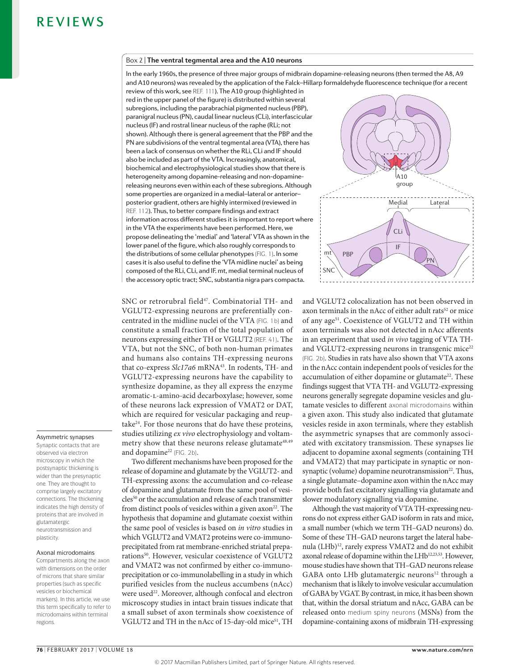#### Box 2 | **The ventral tegmental area and the A10 neurons**

In the early 1960s, the presence of three major groups of midbrain dopamine-releasing neurons (then termed the A8, A9 and A10 neurons) was revealed by the application of the Falck–Hillarp formaldehyde fluorescence technique (for a recent

review of this work, see REF. 111). The A10 group (highlighted in red in the upper panel of the figure) is distributed within several subregions, including the parabrachial pigmented nucleus (PBP), paranigral nucleus (PN), caudal linear nucleus (CLi), interfascicular nucleus (IF) and rostral linear nucleus of the raphe (RLi; not shown). Although there is general agreement that the PBP and the PN are subdivisions of the ventral tegmental area (VTA), there has been a lack of consensus on whether the RLi, CLi and IF should also be included as part of the VTA. Increasingly, anatomical, biochemical and electrophysiological studies show that there is heterogeneity among dopamine-releasing and non-dopaminereleasing neurons even within each of these subregions. Although some properties are organized in a medial–lateral or anterior– posterior gradient, others are highly intermixed (reviewed in REF. 112). Thus, to better compare findings and extract information across different studies it is important to report where in the VTA the experiments have been performed. Here, we propose delineating the 'medial' and 'lateral' VTA as shown in the lower panel of the figure, which also roughly corresponds to the distributions of some cellular phenotypes (FIG. 1). In some cases it is also useful to define the 'VTA midline nuclei' as being composed of the RLi, CLi, and IF. mt, medial terminal nucleus of the accessory optic tract; SNC, substantia nigra pars compacta.

SNC or retrorubral field<sup>47</sup>. Combinatorial TH- and VGLUT2-expressing neurons are preferentially concentrated in the midline nuclei of the VTA (FIG. 1b) and constitute a small fraction of the total population of neurons expressing either TH or VGLUT2 (REF. 41). The VTA, but not the SNC, of both non-human primates and humans also contains TH-expressing neurons that co-express *Slc17a6* mRNA<sup>43</sup>. In rodents, TH- and VGLUT2-expressing neurons have the capability to synthesize dopamine, as they all express the enzyme aromatic-l-amino-acid decarboxylase; however, some of these neurons lack expression of VMAT2 or DAT, which are required for vesicular packaging and reuptake24. For those neurons that do have these proteins, studies utilizing *ex vivo* electrophysiology and voltammetry show that these neurons release glutamate<sup>48,49</sup> and dopamine<sup>22</sup> (FIG. 2b).

Two different mechanisms have been proposed for the release of dopamine and glutamate by the VGLUT2- and TH-expressing axons: the accumulation and co-release of dopamine and glutamate from the same pool of vesicles<sup>50</sup> or the accumulation and release of each transmitter from distinct pools of vesicles within a given axon<sup>22</sup>. The hypothesis that dopamine and glutamate coexist within the same pool of vesicles is based on *in vitro* studies in which VGLUT2 and VMAT2 proteins were co-immunoprecipitated from rat membrane-enriched striatal preparations<sup>50</sup>. However, vesicular coexistence of VGLUT2 and VMAT2 was not confirmed by either co-immunoprecipitation or co-immunolabelling in a study in which purified vesicles from the nucleus accumbens (nAcc) were used<sup>22</sup>. Moreover, although confocal and electron microscopy studies in intact brain tissues indicate that a small subset of axon terminals show coexistence of VGLUT2 and TH in the nAcc of 15-day-old mice<sup>51</sup>, TH



and VGLUT2 colocalization has not been observed in axon terminals in the nAcc of either adult rats<sup>52</sup> or mice of any age<sup>51</sup>. Coexistence of VGLUT2 and TH within axon terminals was also not detected in nAcc afferents in an experiment that used *in vivo* tagging of VTA THand VGLUT2-expressing neurons in transgenic mice $22$ (FIG. 2b). Studies in rats have also shown that VTA axons in the nAcc contain independent pools of vesicles for the accumulation of either dopamine or glutamate<sup>22</sup>. These findings suggest that VTA TH- and VGLUT2-expressing neurons generally segregate dopamine vesicles and glutamate vesicles to different axonal microdomains within a given axon. This study also indicated that glutamate vesicles reside in axon terminals, where they establish the asymmetric synapses that are commonly associated with excitatory transmission. These synapses lie adjacent to dopamine axonal segments (containing TH and VMAT2) that may participate in synaptic or nonsynaptic (volume) dopamine neurotransmission $22$ . Thus, a single glutamate–dopamine axon within the nAcc may provide both fast excitatory signalling via glutamate and slower modulatory signalling via dopamine.

Although the vast majority of VTA TH-expressing neurons do not express either GAD isoform in rats and mice, a small number (which we term TH–GAD neurons) do. Some of these TH–GAD neurons target the lateral habenula (LHb)12, rarely express VMAT2 and do not exhibit axonal release of dopamine within the LHb<sup>12,23,53</sup>. However, mouse studies have shown that TH–GAD neurons release GABA onto LHb glutamatergic neurons<sup>12</sup> through a mechanism that is likely to involve vesicular accumulation of GABA by VGAT. By contrast, in mice, it has been shown that, within the dorsal striatum and nAcc, GABA can be released onto medium spiny neurons (MSNs) from the dopamine-containing axons of midbrain TH-expressing

#### Asymmetric synapses

Synaptic contacts that are observed via electron microscopy in which the postsynaptic thickening is wider than the presynaptic one. They are thought to comprise largely excitatory connections. The thickening indicates the high density of proteins that are involved in glutamatergic neurotransmission and plasticity.

#### Axonal microdomains

Compartments along the axon with dimensions on the order of microns that share similar properties (such as specific vesicles or biochemical markers). In this article, we use this term specifically to refer to microdomains within terminal regions.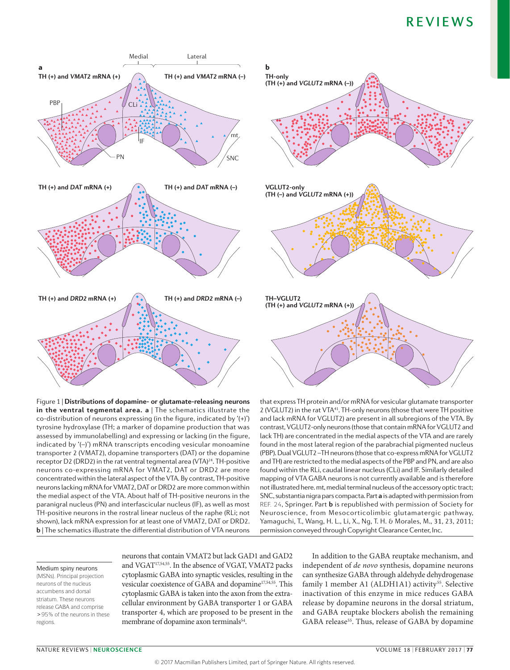

Figure 1 | **Distributions of dopamine- or glutamate-releasing neurons in the ventral tegmental area. a** | The schematics illustrate the co-distribution of neurons expressing (in the figure, indicated by '(+)') tyrosine hydroxylase (TH; a marker of dopamine production that was assessed by immunolabelling) and expressing or lacking (in the figure, indicated by '(–)') mRNA transcripts encoding vesicular monoamine transporter 2 (VMAT2), dopamine transporters (DAT) or the dopamine receptor D2 (DRD2) in the rat ventral tegmental area (VTA)<sup>24</sup>. TH-positive neurons co-expressing mRNA for VMAT2, DAT or DRD2 are more concentrated within the lateral aspect of the VTA. By contrast, TH-positive neurons lacking mRNA for VMAT2, DAT or DRD2 are more common within the medial aspect of the VTA. About half of TH-positive neurons in the paranigral nucleus (PN) and interfascicular nucleus (IF), as well as most TH-positive neurons in the rostral linear nucleus of the raphe (RLi; not shown), lack mRNA expression for at least one of VMAT2, DAT or DRD2. **b** | The schematics illustrate the differential distribution of VTA neurons



that express TH protein and/or mRNA for vesicular glutamate transporter 2 (VGLUT2) in the rat VTA<sup>41</sup>. TH-only neurons (those that were TH positive and lack mRNA for VGLUT2) are present in all subregions of the VTA. By contrast, VGLUT2-only neurons (those that contain mRNA for VGLUT2 and lack TH) are concentrated in the medial aspects of the VTA and are rarely found in the most lateral region of the parabrachial pigmented nucleus (PBP). Dual VGLUT2 –TH neurons (those that co-express mRNA for VGLUT2 and TH) are restricted to the medial aspects of the PBP and PN, and are also found within the RLi, caudal linear nucleus (CLi) and IF. Similarly detailed mapping of VTA GABA neurons is not currently available and is therefore not illustrated here. mt, medial terminal nucleus of the accessory optic tract; SNC, substantia nigra pars compacta. Part **a** is adapted with permission from REF. 24, Springer. Part **b** is republished with permission of Society for Neuroscience, from Mesocorticolimbic glutamatergic pathway, Yamaguchi, T., Wang, H. L., Li, X., Ng, T. H. & Morales, M., 31, 23, 2011; permission conveyed through Copyright Clearance Center, Inc.

#### Medium spiny neurons

(MSNs). Principal projection neurons of the nucleus accumbens and dorsal striatum. These neurons release GABA and comprise >95% of the neurons in these regions.

neurons that contain VMAT2 but lack GAD1 and GAD2 and VGAT17,54,55. In the absence of VGAT, VMAT2 packs cytoplasmic GABA into synaptic vesicles, resulting in the vesicular coexistence of GABA and dopamine<sup>17,54,55</sup>. This cytoplasmic GABA is taken into the axon from the extracellular environment by GABA transporter 1 or GABA transporter 4, which are proposed to be present in the membrane of dopamine axon terminals<sup>54</sup>.

In addition to the GABA reuptake mechanism, and independent of *de novo* synthesis, dopamine neurons can synthesize GABA through aldehyde dehydrogenase family 1 member A1 (ALDH1A1) activity<sup>55</sup>. Selective inactivation of this enzyme in mice reduces GABA release by dopamine neurons in the dorsal striatum, and GABA reuptake blockers abolish the remaining GABA release<sup>55</sup>. Thus, release of GABA by dopamine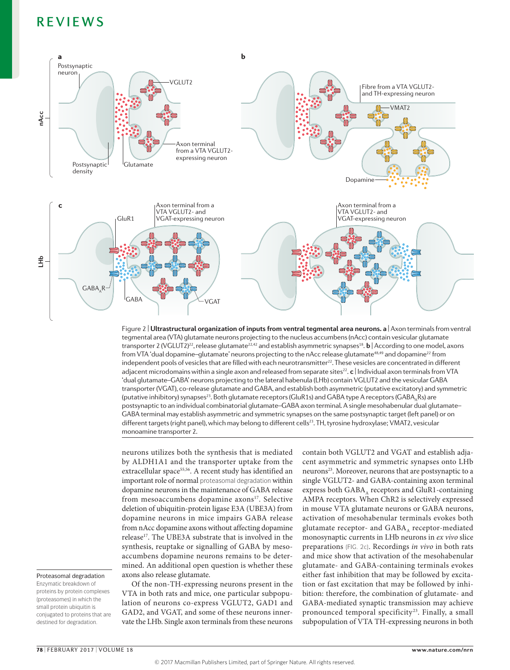

**Nature Reviews** | **Neuroscience** Figure 2 | **Ultrastructural organization of inputs from ventral tegmental area neurons. a** | Axon terminals from ventral tegmental area (VTA) glutamate neurons projecting to the nucleus accumbens (nAcc) contain vesicular glutamate transporter 2 (VGLUT2)<sup>22</sup>, release glutamate<sup>22,42</sup> and establish asymmetric synapses<sup>18</sup>. **b** | According to one model, axons from VTA 'dual dopamine-glutamate' neurons projecting to the nAcc release glutamate<sup>48,49</sup> and dopamine<sup>22</sup> from independent pools of vesicles that are filled with each neurotransmitter<sup>22</sup>. These vesicles are concentrated in different adjacent microdomains within a single axon and released from separate sites<sup>22</sup>. **c** | Individual axon terminals from VTA 'dual glutamate–GABA' neurons projecting to the lateral habenula (LHb) contain VGLUT2 and the vesicular GABA transporter (VGAT), co-release glutamate and GABA, and establish both asymmetric (putative excitatory) and symmetric (putative inhibitory) synapses<sup>23</sup>. Both glutamate receptors (GluR1s) and GABA type A receptors (GABA<sub>a</sub>Rs) are postsynaptic to an individual combinatorial glutamate–GABA axon terminal. A single mesohabenular dual glutamate– GABA terminal may establish asymmetric and symmetric synapses on the same postsynaptic target (left panel) or on different targets (right panel), which may belong to different cells<sup>23</sup>. TH, tyrosine hydroxylase; VMAT2, vesicular monoamine transporter 2.

neurons utilizes both the synthesis that is mediated by ALDH1A1 and the transporter uptake from the extracellular space<sup>55,56</sup>. A recent study has identified an important role of normal proteasomal degradation within dopamine neurons in the maintenance of GABA release from mesoaccumbens dopamine axons<sup>17</sup>. Selective deletion of ubiquitin-protein ligase E3A (UBE3A) from dopamine neurons in mice impairs GABA release from nAcc dopamine axons without affecting dopamine release<sup>17</sup>. The UBE3A substrate that is involved in the synthesis, reuptake or signalling of GABA by mesoaccumbens dopamine neurons remains to be determined. An additional open question is whether these axons also release glutamate.

Proteasomal degradation

Enzymatic breakdown of proteins by protein complexes (proteasomes) in which the small protein ubiquitin is conjugated to proteins that are destined for degradation.

Of the non-TH-expressing neurons present in the VTA in both rats and mice, one particular subpopulation of neurons co-express VGLUT2, GAD1 and GAD2, and VGAT, and some of these neurons innervate the LHb. Single axon terminals from these neurons contain both VGLUT2 and VGAT and establish adjacent asymmetric and symmetric synapses onto LHb neurons23. Moreover, neurons that are postsynaptic to a single VGLUT2- and GABA-containing axon terminal express both GABA, receptors and GluR1-containing AMPA receptors. When ChR2 is selectively expressed in mouse VTA glutamate neurons or GABA neurons, activation of mesohabenular terminals evokes both glutamate receptor- and  $GABA_A$  receptor-mediated monosynaptic currents in LHb neurons in *ex vivo* slice preparations (FIG. 2c). Recordings *in vivo* in both rats and mice show that activation of the mesohabenular glutamate- and GABA-containing terminals evokes either fast inhibition that may be followed by excitation or fast excitation that may be followed by inhibition: therefore, the combination of glutamate- and GABA-mediated synaptic transmission may achieve pronounced temporal specificity<sup>23</sup>. Finally, a small subpopulation of VTA TH-expressing neurons in both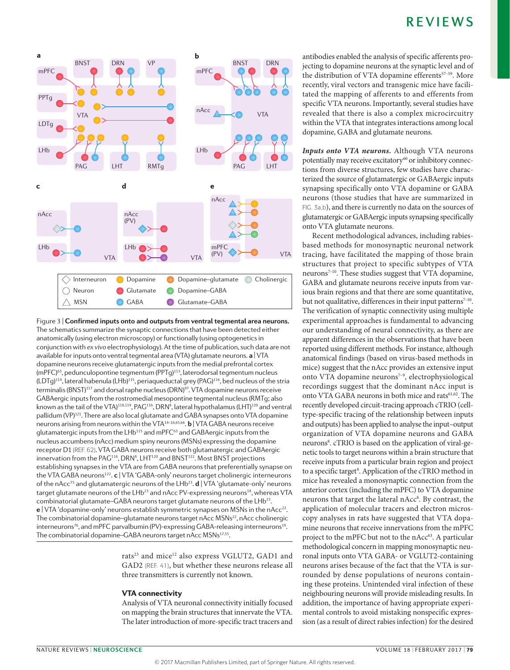

The schematics summarize the synaptic connections that have been detected either Figure 3 | **Confirmed inputs onto and outputs from ventral tegmental area neurons.** anatomically (using electron microscopy) or functionally (using optogenetics in conjunction with *ex vivo* electrophysiology). At the time of publication, such data are not available for inputs onto ventral tegmental area (VTA) glutamate neurons. **a** | VTA dopamine neurons receive glutamatergic inputs from the medial prefrontal cortex (mPFC)63, pedunculopontine tegmentum (PPTg)113, laterodorsal tegmentum nucleus (LDTg)<sup>114</sup>, lateral habenula (LHb)<sup>115</sup>, periaqueductal grey (PAG)<sup>116</sup>, bed nucleus of the stria terminalis (BNST)<sup>117</sup> and dorsal raphe nucleus (DRN)<sup>97</sup>. VTA dopamine neurons receive GABAergic inputs from the rostromedial mesopontine tegmental nucleus (RMTg; also known as the tail of the VTA) $^{118,119}$ , PAG $^{116}$ , DRN $^8$ , lateral hypothalamus (LHT) $^{120}$  and ventral pallidum (VP)<sup>121</sup>. There are also local glutamate and GABA synapses onto VTA dopamine neurons arising from neurons within the VTA14–16,65,66. **b** | VTA GABA neurons receive glutamatergic inputs from the LHb<sup>115</sup> and mPFC<sup>63</sup> and GABAergic inputs from the nucleus accumbens (nAcc) medium spiny neurons (MSNs) expressing the dopamine receptor D1 (REF. 62). VTA GABA neurons receive both glutamatergic and GABAergic innervation from the  $PAG^{116}$ , DRN<sup>8</sup>, LHT<sup>120</sup> and BNST<sup>122</sup>. Most BNST projections establishing synapses in the VTA are from GABA neurons that preferentially synapse on the VTA GABA neurons122. **c** | VTA 'GABA-only' neurons target cholinergic interneurons of the nAcc<sup>75</sup> and glutamatergic neurons of the LHb<sup>23</sup>. **d** | VTA 'glutamate-only' neurons target glutamate neurons of the LHb<sup>23</sup> and nAcc PV-expressing neurons<sup>18</sup>, whereas VTA combinatorial glutamate-GABA neurons target glutamate neurons of the LHb<sup>23</sup>. **e** | VTA 'dopamine-only' neurons establish symmetric synapses on MSNs in the nAcc<sup>22</sup>. The combinatorial dopamine–glutamate neurons target nAcc MSNs<sup>22</sup>, nAcc cholinergic interneurons<sup>76</sup>, and mPFC parvalbumin (PV)-expressing GABA-releasing interneurons<sup>19</sup>. The combinatorial dopamine–GABA neurons target nAcc MSNs<sup>17,55</sup>.

> rats<sup>23</sup> and mice<sup>12</sup> also express VGLUT2, GAD1 and GAD2 (REF. 41), but whether these neurons release all three transmitters is currently not known.

#### VTA connectivity

Analysis of VTA neuronal connectivity initially focused on mapping the brain structures that innervate the VTA. The later introduction of more-specific tract tracers and

antibodies enabled the analysis of specific afferents projecting to dopamine neurons at the synaptic level and of the distribution of VTA dopamine efferents<sup>57-59</sup>. More recently, viral vectors and transgenic mice have facilitated the mapping of afferents to and efferents from specific VTA neurons. Importantly, several studies have revealed that there is also a complex microcircuitry within the VTA that integrates interactions among local dopamine, GABA and glutamate neurons.

*Inputs onto VTA neurons.* Although VTA neurons potentially may receive excitatory<sup>60</sup> or inhibitory connections from diverse structures, few studies have characterized the source of glutamatergic or GABAergic inputs synapsing specifically onto VTA dopamine or GABA neurons (those studies that have are summarized in FIG. 3a,b), and there is currently no data on the sources of glutamatergic or GABAergic inputs synapsing specifically onto VTA glutamate neurons.

Recent methodological advances, including rabiesbased methods for monosynaptic neuronal network tracing, have facilitated the mapping of those brain structures that project to specific subtypes of VTA neurons<sup>7-10</sup>. These studies suggest that VTA dopamine, GABA and glutamate neurons receive inputs from various brain regions and that there are some quantitative, but not qualitative, differences in their input patterns<sup>7-10</sup>. The verification of synaptic connectivity using multiple experimental approaches is fundamental to advancing our understanding of neural connectivity, as there are apparent differences in the observations that have been reported using different methods. For instance, although anatomical findings (based on virus-based methods in mice) suggest that the nAcc provides an extensive input onto VTA dopamine neurons<sup>7-9</sup>, electrophysiological recordings suggest that the dominant nAcc input is onto VTA GABA neurons in both mice and rats<sup>61,62</sup>. The recently developed circuit-tracing approach cTRIO (celltype-specific tracing of the relationship between inputs and outputs) has been applied to analyse the input–output organization of VTA dopamine neurons and GABA neurons<sup>8</sup>. cTRIO is based on the application of viral-genetic tools to target neurons within a brain structure that receive inputs from a particular brain region and project to a specific target<sup>8</sup>. Application of the cTRIO method in mice has revealed a monosynaptic connection from the anterior cortex (including the mPFC) to VTA dopamine neurons that target the lateral nAcc<sup>8</sup>. By contrast, the application of molecular tracers and electron microscopy analyses in rats have suggested that VTA dopamine neurons that receive innervations from the mPFC project to the mPFC but not to the nAcc<sup>63</sup>. A particular methodological concern in mapping monosynaptic neuronal inputs onto VTA GABA- or VGLUT2-containing neurons arises because of the fact that the VTA is surrounded by dense populations of neurons containing these proteins. Unintended viral infection of these neighbouring neurons will provide misleading results. In addition, the importance of having appropriate experimental controls to avoid mistaking nonspecific expression (as a result of direct rabies infection) for the desired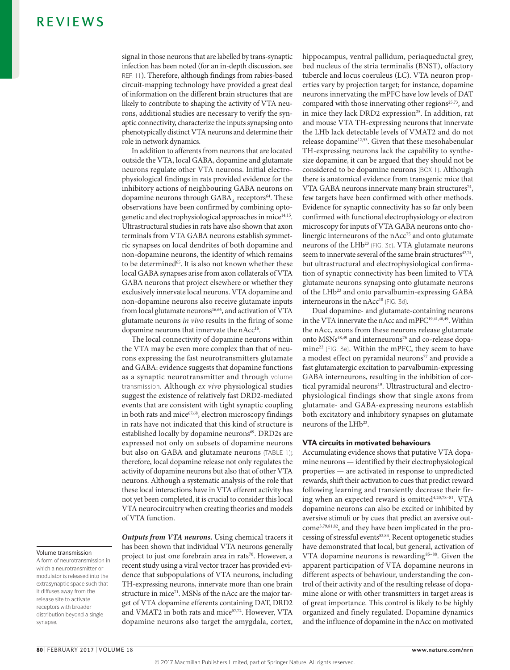signal in those neurons that are labelled by trans-synaptic infection has been noted (for an in-depth discussion, see REF. 11). Therefore, although findings from rabies-based circuit-mapping technology have provided a great deal of information on the different brain structures that are likely to contribute to shaping the activity of VTA neurons, additional studies are necessary to verify the synaptic connectivity, characterize the inputs synapsing onto phenotypically distinct VTA neurons and determine their role in network dynamics.

In addition to afferents from neurons that are located outside the VTA, local GABA, dopamine and glutamate neurons regulate other VTA neurons. Initial electrophysiological findings in rats provided evidence for the inhibitory actions of neighbouring GABA neurons on dopamine neurons through  $GABA$ <sub>s</sub> receptors<sup>64</sup>. These observations have been confirmed by combining optogenetic and electrophysiological approaches in mice<sup>14,15</sup>. Ultrastructural studies in rats have also shown that axon terminals from VTA GABA neurons establish symmetric synapses on local dendrites of both dopamine and non-dopamine neurons, the identity of which remains to be determined<sup>65</sup>. It is also not known whether these local GABA synapses arise from axon collaterals of VTA GABA neurons that project elsewhere or whether they exclusively innervate local neurons. VTA dopamine and non-dopamine neurons also receive glutamate inputs from local glutamate neurons<sup>16,66</sup>, and activation of VTA glutamate neurons *in vivo* results in the firing of some dopamine neurons that innervate the nAcc<sup>16</sup>.

The local connectivity of dopamine neurons within the VTA may be even more complex than that of neurons expressing the fast neurotransmitters glutamate and GABA: evidence suggests that dopamine functions as a synaptic neurotransmitter and through volume transmission. Although *ex vivo* physiological studies suggest the existence of relatively fast DRD2-mediated events that are consistent with tight synaptic coupling in both rats and mice<sup>67,68</sup>, electron microscopy findings in rats have not indicated that this kind of structure is established locally by dopamine neurons<sup>69</sup>. DRD2s are expressed not only on subsets of dopamine neurons but also on GABA and glutamate neurons (TABLE 1); therefore, local dopamine release not only regulates the activity of dopamine neurons but also that of other VTA neurons. Although a systematic analysis of the role that these local interactions have in VTA efferent activity has not yet been completed, it is crucial to consider this local VTA neurocircuitry when creating theories and models of VTA function.

Volume transmission

A form of neurotransmission in which a neurotransmitter or modulator is released into the extrasynaptic space such that it diffuses away from the release site to activate receptors with broader distribution beyond a single synapse.

*Outputs from VTA neurons.* Using chemical tracers it has been shown that individual VTA neurons generally project to just one forebrain area in rats<sup>70</sup>. However, a recent study using a viral vector tracer has provided evidence that subpopulations of VTA neurons, including TH-expressing neurons, innervate more than one brain structure in mice<sup>71</sup>. MSNs of the nAcc are the major target of VTA dopamine efferents containing DAT, DRD2 and VMAT2 in both rats and mice<sup>57,72</sup>. However, VTA dopamine neurons also target the amygdala, cortex, hippocampus, ventral pallidum, periaqueductal grey, bed nucleus of the stria terminalis (BNST), olfactory tubercle and locus coeruleus (LC). VTA neuron properties vary by projection target; for instance, dopamine neurons innervating the mPFC have low levels of DAT compared with those innervating other regions<sup>25,73</sup>, and in mice they lack DRD2 expression<sup>25</sup>. In addition, rat and mouse VTA TH-expressing neurons that innervate the LHb lack detectable levels of VMAT2 and do not release dopamine<sup>12,53</sup>. Given that these mesohabenular TH-expressing neurons lack the capability to synthesize dopamine, it can be argued that they should not be considered to be dopamine neurons (BOX 1). Although there is anatomical evidence from transgenic mice that VTA GABA neurons innervate many brain structures<sup>74</sup>, few targets have been confirmed with other methods. Evidence for synaptic connectivity has so far only been confirmed with functional electrophysiology or electron microscopy for inputs of VTA GABA neurons onto cholinergic interneurons of the nAcc<sup>75</sup> and onto glutamate neurons of the LHb<sup>23</sup> (FIG. 3c). VTA glutamate neurons seem to innervate several of the same brain structures<sup>42,74</sup>, but ultrastructural and electrophysiological confirmation of synaptic connectivity has been limited to VTA glutamate neurons synapsing onto glutamate neurons of the LHb<sup>23</sup> and onto parvalbumin-expressing GABA interneurons in the nAcc<sup>18</sup> (FIG. 3d).

Dual dopamine- and glutamate-containing neurons in the VTA innervate the nAcc and mPFC19,41,48,49. Within the nAcc, axons from these neurons release glutamate onto MSNs<sup>48,49</sup> and interneurons<sup>76</sup> and co-release dopamine<sup>22</sup> (FIG. 3e). Within the mPFC, they seem to have a modest effect on pyramidal neurons<sup>77</sup> and provide a fast glutamatergic excitation to parvalbumin-expressing GABA interneurons, resulting in the inhibition of cortical pyramidal neurons<sup>19</sup>. Ultrastructural and electrophysiological findings show that single axons from glutamate- and GABA-expressing neurons establish both excitatory and inhibitory synapses on glutamate neurons of the LHb<sup>23</sup>.

#### VTA circuits in motivated behaviours

Accumulating evidence shows that putative VTA dopamine neurons — identified by their electrophysiological properties — are activated in response to unpredicted rewards, shift their activation to cues that predict reward following learning and transiently decrease their firing when an expected reward is omitted<sup>4,20,78-81</sup>. VTA dopamine neurons can also be excited or inhibited by aversive stimuli or by cues that predict an aversive outcome3,79,81,82, and they have been implicated in the processing of stressful events83,84. Recent optogenetic studies have demonstrated that local, but general, activation of VTA dopamine neurons is rewarding<sup>85-88</sup>. Given the apparent participation of VTA dopamine neurons in different aspects of behaviour, understanding the control of their activity and of the resulting release of dopamine alone or with other transmitters in target areas is of great importance. This control is likely to be highly organized and finely regulated. Dopamine dynamics and the influence of dopamine in the nAcc on motivated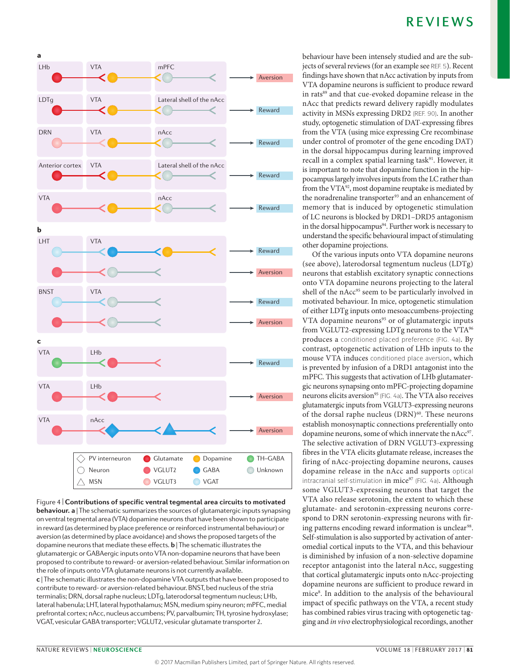



**Nature Reviews** | **Neuroscience** on ventral tegmental area (VTA) dopamine neurons that have been shown to participate Figure 4 | **Contributions of specific ventral tegmental area circuits to motivated behaviour. a** | The schematic summarizes the sources of glutamatergic inputs synapsing in reward (as determined by place preference or reinforced instrumental behaviour) or aversion (as determined by place avoidance) and shows the proposed targets of the dopamine neurons that mediate these effects. **b** | The schematic illustrates the glutamatergic or GABAergic inputs onto VTA non-dopamine neurons that have been proposed to contribute to reward- or aversion-related behaviour. Similar information on the role of inputs onto VTA glutamate neurons is not currently available. **c** | The schematic illustrates the non-dopamine VTA outputs that have been proposed to contribute to reward- or aversion-related behaviour. BNST, bed nucleus of the stria terminalis; DRN, dorsal raphe nucleus; LDTg, laterodorsal tegmentum nucleus; LHb, lateral habenula; LHT, lateral hypothalamus; MSN, medium spiny neuron; mPFC, medial prefrontal cortex; nAcc, nucleus accumbens; PV, parvalbumin; TH, tyrosine hydroxylase; VGAT, vesicular GABA transporter; VGLUT2, vesicular glutamate transporter 2.

behaviour have been intensely studied and are the subjects of several reviews (for an example see REF. 5). Recent findings have shown that nAcc activation by inputs from VTA dopamine neurons is sufficient to produce reward in rats<sup>89</sup> and that cue-evoked dopamine release in the nAcc that predicts reward delivery rapidly modulates activity in MSNs expressing DRD2 (REF. 90). In another study, optogenetic stimulation of DAT-expressing fibres from the VTA (using mice expressing Cre recombinase under control of promoter of the gene encoding DAT) in the dorsal hippocampus during learning improved recall in a complex spatial learning task<sup>91</sup>. However, it is important to note that dopamine function in the hippocampus largely involves inputs from the LC rather than from the VTA<sup>92</sup>, most dopamine reuptake is mediated by the noradrenaline transporter<sup>93</sup> and an enhancement of memory that is induced by optogenetic stimulation of LC neurons is blocked by DRD1–DRD5 antagonism in the dorsal hippocampus<sup>94</sup>. Further work is necessary to understand the specific behavioural impact of stimulating other dopamine projections.

Of the various inputs onto VTA dopamine neurons (see above), laterodorsal tegmentum nucleus (LDTg) neurons that establish excitatory synaptic connections onto VTA dopamine neurons projecting to the lateral shell of the nAcc<sup>95</sup> seem to be particularly involved in motivated behaviour. In mice, optogenetic stimulation of either LDTg inputs onto mesoaccumbens-projecting VTA dopamine neurons<sup>95</sup> or of glutamatergic inputs from VGLUT2-expressing LDTg neurons to the VTA<sup>96</sup> produces a conditioned placed preference (FIG. 4a). By contrast, optogenetic activation of LHb inputs to the mouse VTA induces conditioned place aversion, which is prevented by infusion of a DRD1 antagonist into the mPFC. This suggests that activation of LHb glutamatergic neurons synapsing onto mPFC-projecting dopamine neurons elicits aversion<sup>95</sup> (FIG. 4a). The VTA also receives glutamatergic inputs from VGLUT3-expressing neurons of the dorsal raphe nucleus (DRN)<sup>60</sup>. These neurons establish monosynaptic connections preferentially onto dopamine neurons, some of which innervate the nAcc<sup>97</sup>. The selective activation of DRN VGLUT3-expressing fibres in the VTA elicits glutamate release, increases the firing of nAcc-projecting dopamine neurons, causes dopamine release in the nAcc and supports optical intracranial self-stimulation in mice<sup>97</sup> (FIG. 4a). Although some VGLUT3-expressing neurons that target the VTA also release serotonin, the extent to which these glutamate- and serotonin-expressing neurons correspond to DRN serotonin-expressing neurons with firing patterns encoding reward information is unclear<sup>98</sup>. Self-stimulation is also supported by activation of anteromedial cortical inputs to the VTA, and this behaviour is diminished by infusion of a non-selective dopamine receptor antagonist into the lateral nAcc, suggesting that cortical glutamatergic inputs onto nAcc-projecting dopamine neurons are sufficient to produce reward in mice8 . In addition to the analysis of the behavioural impact of specific pathways on the VTA, a recent study has combined rabies virus tracing with optogenetic tagging and *in vivo* electrophysiological recordings, another

a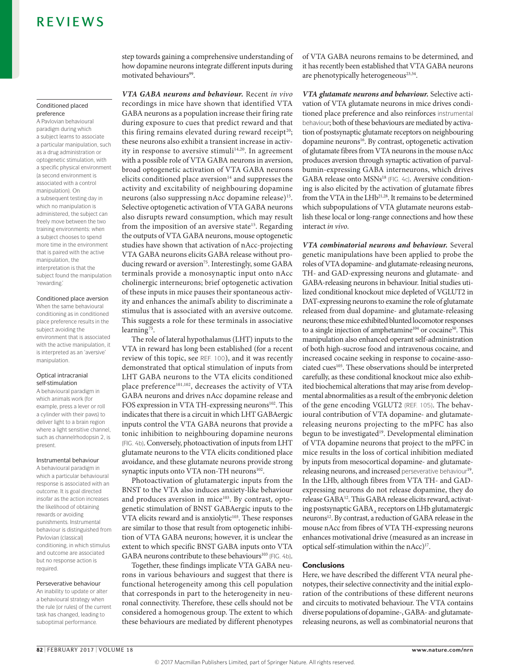#### Conditioned placed preference

A Pavlovian behavioural paradigm during which a subject learns to associate a particular manipulation, such as a drug administration or optogenetic stimulation, with a specific physical environment (a second environment is associated with a control manipulation). On a subsequent testing day in which no manipulation is administered, the subject can freely move between the two training environments: when a subject chooses to spend more time in the environment that is paired with the active manipulation, the interpretation is that the subject found the manipulation 'rewarding.'

#### Conditioned place aversion

When the same behavioural conditioning as in conditioned place preference results in the subject avoiding the environment that is associated with the active manipulation, it is interpreted as an 'aversive manipulation.

#### Optical intracranial self-stimulation

A behavioural paradigm in which animals work (for example, press a lever or roll a cylinder with their paws) to deliver light to a brain region where a light sensitive channel, such as channelrhodopsin 2, is present.

#### Instrumental behaviour

A behavioural paradigm in which a particular behavioural response is associated with an outcome. It is goal directed insofar as the action increases the likelihood of obtaining rewards or avoiding punishments. Instrumental behaviour is distinguished from Pavlovian (classical) conditioning, in which stimulus and outcome are associated but no response action is required.

#### Perseverative behaviour

An inability to update or alter a behavioural strategy when the rule (or rules) of the current task has changed, leading to suboptimal performance.

step towards gaining a comprehensive understanding of how dopamine neurons integrate different inputs during motivated behaviours<sup>99</sup>.

*VTA GABA neurons and behaviour.* Recent *in vivo* recordings in mice have shown that identified VTA GABA neurons as a population increase their firing rate during exposure to cues that predict reward and that this firing remains elevated during reward receipt<sup>20</sup>; these neurons also exhibit a transient increase in activity in response to aversive stimuli<sup>14,20</sup>. In agreement with a possible role of VTA GABA neurons in aversion, broad optogenetic activation of VTA GABA neurons elicits conditioned place aversion $14$  and suppresses the activity and excitability of neighbouring dopamine neurons (also suppressing nAcc dopamine release)<sup>15</sup>. Selective optogenetic activation of VTA GABA neurons also disrupts reward consumption, which may result from the imposition of an aversive state<sup>15</sup>. Regarding the outputs of VTA GABA neurons, mouse optogenetic studies have shown that activation of nAcc-projecting VTA GABA neurons elicits GABA release without producing reward or aversion<sup>75</sup>. Interestingly, some GABA terminals provide a monosynaptic input onto nAcc cholinergic interneurons; brief optogenetic activation of these inputs in mice pauses their spontaneous activity and enhances the animal's ability to discriminate a stimulus that is associated with an aversive outcome. This suggests a role for these terminals in associative learning<sup>75</sup>.

The role of lateral hypothalamus (LHT) inputs to the VTA in reward has long been established (for a recent review of this topic, see REF. 100), and it was recently demonstrated that optical stimulation of inputs from LHT GABA neurons to the VTA elicits conditioned place preference<sup>101,102</sup>, decreases the activity of VTA GABA neurons and drives nAcc dopamine release and FOS expression in VTA TH-expressing neurons<sup>102</sup>. This indicates that there is a circuit in which LHT GABAergic inputs control the VTA GABA neurons that provide a tonic inhibition to neighbouring dopamine neurons (FIG. 4b). Conversely, photoactivation of inputs from LHT glutamate neurons to the VTA elicits conditioned place avoidance, and these glutamate neurons provide strong synaptic inputs onto VTA non-TH neurons<sup>102</sup>.

Photoactivation of glutamatergic inputs from the BNST to the VTA also induces anxiety-like behaviour and produces aversion in mice<sup>103</sup>. By contrast, optogenetic stimulation of BNST GABAergic inputs to the VTA elicits reward and is anxiolytic<sup>103</sup>. These responses are similar to those that result from optogenetic inhibition of VTA GABA neurons; however, it is unclear the extent to which specific BNST GABA inputs onto VTA GABA neurons contribute to these behaviours<sup>103</sup> (FIG. 4b).

Together, these findings implicate VTA GABA neurons in various behaviours and suggest that there is functional heterogeneity among this cell population that corresponds in part to the heterogeneity in neuronal connectivity. Therefore, these cells should not be considered a homogenous group. The extent to which these behaviours are mediated by different phenotypes of VTA GABA neurons remains to be determined*,* and it has recently been established that VTA GABA neurons are phenotypically heterogeneous<sup>23,34</sup>.

*VTA glutamate neurons and behaviour.* Selective activation of VTA glutamate neurons in mice drives conditioned place preference and also reinforces instrumental behaviour; both of these behaviours are mediated by activation of postsynaptic glutamate receptors on neighbouring dopamine neurons<sup>16</sup>. By contrast, optogenetic activation of glutamate fibres from VTA neurons in the mouse nAcc produces aversion through synaptic activation of parvalbumin-expressing GABA interneurons, which drives GABA release onto MSNs<sup>18</sup> (FIG. 4c). Aversive conditioning is also elicited by the activation of glutamate fibres from the VTA in the LHb<sup>21,28</sup>. It remains to be determined which subpopulations of VTA glutamate neurons establish these local or long-range connections and how these interact *in vivo*.

*VTA combinatorial neurons and behaviour.* Several genetic manipulations have been applied to probe the roles of VTA dopamine- and glutamate-releasing neurons, TH- and GAD-expressing neurons and glutamate- and GABA-releasing neurons in behaviour. Initial studies utilized conditional knockout mice depleted of VGLUT2 in DAT-expressing neurons to examine the role of glutamate released from dual dopamine- and glutamate-releasing neurons; these mice exhibited blunted locomotor responses to a single injection of amphetamine<sup>104</sup> or cocaine<sup>50</sup>. This manipulation also enhanced operant self-administration of both high-sucrose food and intravenous cocaine, and increased cocaine seeking in response to cocaine-associated cues<sup>105</sup>. These observations should be interpreted carefully, as these conditional knockout mice also exhibited biochemical alterations that may arise from developmental abnormalities as a result of the embryonic deletion of the gene encoding VGLUT2 (REF. 105). The behavioural contribution of VTA dopamine- and glutamatereleasing neurons projecting to the mPFC has also begun to be investigated<sup>19</sup>. Developmental elimination of VTA dopamine neurons that project to the mPFC in mice results in the loss of cortical inhibition mediated by inputs from mesocortical dopamine- and glutamatereleasing neurons, and increased perseverative behaviour<sup>19</sup>. In the LHb, although fibres from VTA TH- and GADexpressing neurons do not release dopamine, they do release GABA12. This GABA release elicits reward, activating postsynaptic  $GABA_A$  receptors on LHb glutamatergic neurons<sup>12</sup>. By contrast, a reduction of GABA release in the mouse nAcc from fibres of VTA TH-expressing neurons enhances motivational drive (measured as an increase in optical self-stimulation within the nAcc)<sup>17</sup>.

#### **Conclusions**

Here, we have described the different VTA neural phenotypes, their selective connectivity and the initial exploration of the contributions of these different neurons and circuits to motivated behaviour. The VTA contains diverse populations of dopamine-, GABA- and glutamatereleasing neurons, as well as combinatorial neurons that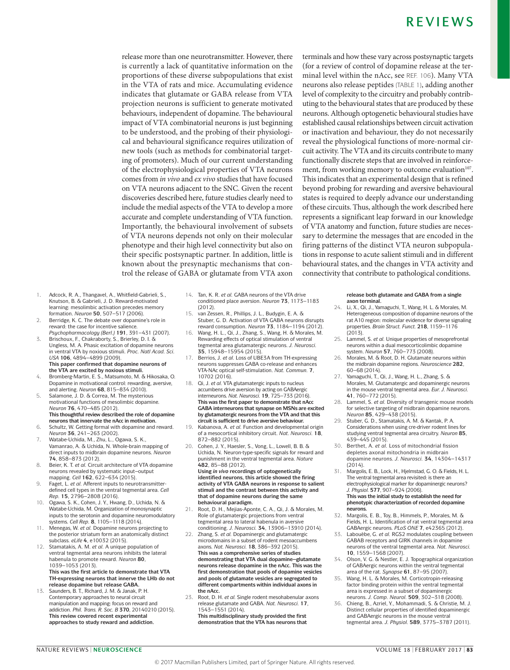release more than one neurotransmitter. However, there is currently a lack of quantitative information on the proportions of these diverse subpopulations that exist in the VTA of rats and mice. Accumulating evidence indicates that glutamate or GABA release from VTA projection neurons is sufficient to generate motivated behaviours, independent of dopamine. The behavioural impact of VTA combinatorial neurons is just beginning to be understood, and the probing of their physiological and behavioural significance requires utilization of new tools (such as methods for combinatorial targeting of promoters). Much of our current understanding of the electrophysiological properties of VTA neurons comes from *in vivo* and *ex vivo* studies that have focused on VTA neurons adjacent to the SNC. Given the recent discoveries described here, future studies clearly need to include the medial aspects of the VTA to develop a more accurate and complete understanding of VTA function. Importantly, the behavioural involvement of subsets of VTA neurons depends not only on their molecular phenotype and their high level connectivity but also on their specific postsynaptic partner. In addition, little is known about the presynaptic mechanisms that control the release of GABA or glutamate from VTA axon terminals and how these vary across postsynaptic targets (for a review of control of dopamine release at the terminal level within the nAcc, see REF. 106). Many VTA neurons also release peptides (TABLE 1), adding another level of complexity to the circuitry and probably contributing to the behavioural states that are produced by these neurons. Although optogenetic behavioural studies have established causal relationships between circuit activation or inactivation and behaviour, they do not necessarily reveal the physiological functions of more-normal circuit activity. The VTA and its circuits contribute to many functionally discrete steps that are involved in reinforcement, from working memory to outcome evaluation<sup>107</sup>. This indicates that an experimental design that is refined beyond probing for rewarding and aversive behavioural states is required to deeply advance our understanding of these circuits. Thus, although the work described here represents a significant leap forward in our knowledge of VTA anatomy and function, future studies are necessary to determine the messages that are encoded in the firing patterns of the distinct VTA neuron subpopulations in response to acute salient stimuli and in different behavioural states, and the changes in VTA activity and connectivity that contribute to pathological conditions.

- 1. Adcock, R. A., Thangavel, A., Whitfield-Gabrieli, S., Knutson, B. & Gabrieli, J. D. Reward-motivated learning: mesolimbic activation precedes memory formation. *Neuron* **50**, 507–517 (2006).
- 2. Berridge, K. C. The debate over dopamine's role in reward: the case for incentive salience. *Psychopharmacology (Berl.)* **191**, 391–431 (2007).
- Brischoux, F., Chakraborty, S., Brierley, D. I. & Ungless, M. A. Phasic excitation of dopamine neurons in ventral VTA by noxious stimuli. *Proc. Natl Acad. Sci. USA* **106**, 4894–4899 (2009). **This paper confirmed that dopamine neurons of**

**the VTA are excited by noxious stimuli.** 4. Bromberg-Martin, E. S., Matsumoto, M. & Hikosaka, O. Dopamine in motivational control: rewarding, aversive, and alerting. *Neuron* **68**, 815–834 (2010).

- 5. Salamone, J. D. & Correa, M. The mysterious motivational functions of mesolimbic dopamine. *Neuron* **76**, 470–485 (2012). **This thoughtful review described the role of dopamine neurons that innervate the nAcc in motivation.**
- 6. Schultz, W. Getting formal with dopamine and reward. *Neuron* **36**, 241–263 (2002).
- 7. Watabe-Uchida, M., Zhu, L., Ogawa, S. K., Vamanrao, A. & Uchida, N. Whole-brain mapping of direct inputs to midbrain dopamine neurons. *Neuron*  **74**, 858–873 (2012).
- 8. Beier, K. T. *et al.* Circuit architecture of VTA dopamine neurons revealed by systematic input–output mapping. *Cell* **162**, 622–634 (2015).
- 9. Faget, L. *et al.* Afferent inputs to neurotransmitterdefined cell types in the ventral tegmental area. *Cell Rep.* **15**, 2796–2808 (2016).
- 10. Ogawa, S. K., Cohen, J. Y., Hwang, D., Uchida, N. & Watabe-Uchida, M. Organization of monosynaptic inputs to the serotonin and dopamine neuromodulatory systems. *Cell Rep.* **8**, 1105–1118 (2014).
- 11. Menegas, W. *et al.* Dopamine neurons projecting to the posterior striatum form an anatomically distinct subclass. *eLife* **4**, e10032 (2015).
- 12. Stamatakis, A. M. *et al.* A unique population of ventral tegmental area neurons inhibits the lateral habenula to promote reward. *Neuron* **80**, 1039–1053 (2013). **This was the first article to demonstrate that VTA TH-expressing neurons that innerve the LHb do not release dopamine but release GABA.**
- 13. Saunders, B. T., Richard, J. M. & Janak, P. H. Contemporary approaches to neural circuit manipulation and mapping: focus on reward and addiction. *Phil. Trans. R. Soc. B* **370**, 20140210 (2015). **This review covered recent experimental approaches to study reward and addiction.**
- 14. Tan, K. R. *et al.* GABA neurons of the VTA drive conditioned place aversion. *Neuron* **73**, 1173–1183  $(2012)$
- 15. van Zessen, R., Phillips, J. L., Budygin, E. A. & Stuber, G. D. Activation of VTA GABA neurons disrupts reward consumption. *Neuron* **73**, 1184–1194 (2012).
- 16. Wang, H. L., Qi, J., Zhang, S., Wang, H. & Morales, M. Rewarding effects of optical stimulation of ventral tegmental area glutamatergic neurons. *J. Neurosci.*  **35**, 15948–15954 (2015).
- 17. Berrios, J. *et al.* Loss of UBE3A from TH-expressing neurons suppresses GABA co-release and enhances VTA-NAc optical self-stimulation. *Nat. Commun.* **7**, 10702 (2016).
- 18. Qi, J. *et al.* VTA glutamatergic inputs to nucleus accumbens drive aversion by acting on GABAergic interneurons. *Nat. Neurosci.* **19**, 725–733 (2016). **This was the first paper to demonstrate that nAcc GABA interneurons that synapse on MSNs are excited by glutamatergic neurons from the VTA and that this circuit is sufficient to drive aversive behaviour.**
- 19. Kabanova, A. *et al.* Function and developmental origin of a mesocortical inhibitory circuit. *Nat. Neurosci.* **18**, 872–882 (2015).
- 20. Cohen, J. Y., Haesler, S., Vong, L., Lowell, B. B. & Uchida, N. Neuron-type-specific signals for reward and punishment in the ventral tegmental area. *Nature*  **482**, 85–88 (2012).

**Using** *in vivo* **recordings of optogenetically identified neurons, this article showed the firing activity of VTA GABA neurons in response to salient stimuli and the contrast between this activity and that of dopamine neurons during the same behavioural paradigm.**

- 21. Root, D. H., Mejias-Aponte, C. A., Qi, J. & Morales, M. Role of glutamatergic projections from ventral tegmental area to lateral habenula in aversive
- conditioning. *J. Neurosci.* **34**, 13906–13910 (2014). 22. Zhang, S. *et al.* Dopaminergic and glutamatergic microdomains in a subset of rodent mesoaccumbens axons. *Nat. Neurosci.* **18**, 386–392 (2015). **This was a comprehensive series of studies demonstrating that VTA dual dopamine–glutamate neurons release dopamine in the nAcc. This was the first demonstration that pools of dopamine vesicles and pools of glutamate vesicles are segregated to different compartments within individual axons in the nAcc.**
- 23. Root, D. H. *et al.* Single rodent mesohabenular axons release glutamate and GABA. *Nat. Neurosci.* **17**, 1543–1551 (2014). **This multidisciplinary study provided the first demonstration that the VTA has neurons that**

**release both glutamate and GABA from a single axon terminal.**

- 24. Li, X., Qi, J., Yamaguchi, T., Wang, H. L. & Morales, M. Heterogeneous composition of dopamine neurons of the rat A10 region: molecular evidence for diverse signaling properties. *Brain Struct. Funct.* **218**, 1159–1176 (2013).
- 25. Lammel, S. *et al.* Unique properties of mesoprefrontal neurons within a dual mesocorticolimbic dopamine system. *Neuron* **57**, 760–773 (2008).
- 26. Morales, M. & Root, D. H. Glutamate neurons within the midbrain dopamine regions. *Neuroscience* **282**, 60–68 (2014).
- 27. Yamaguchi, T., Qi, J., Wang, H. L., Zhang, S. & Morales, M. Glutamatergic and dopaminergic neurons in the mouse ventral tegmental area. *Eur. J. Neurosci.*  **41**, 760–772 (2015).
- 28. Lammel, S. *et al.* Diversity of transgenic mouse models for selective targeting of midbrain dopamine neurons. *Neuron* **85**, 429–438 (2015).
- 29. Stuber, G. D., Stamatakis, A. M. & Kantak, P. A. Considerations when using cre-driver rodent lines for studying ventral tegmental area circuitry. *Neuron* **85**, 439–445 (2015).
- 30. Berthet, A. *et al.* Loss of mitochondrial fission depletes axonal mitochondria in midbrain dopamine neurons. *J. Neurosci.* **34**, 14304–14317 (2014).
- Margolis, E. B., Lock, H., Hjelmstad, G. O. & Fields, H. L. The ventral tegmental area revisited: is there an electrophysiological marker for dopaminergic neurons? *J. Physiol.* **577**, 907–924 (2006). **This was the initial study to establish the need for phenotypic characterization of recorded dopamine**
- **neurons.** 32. Margolis, E. B., Toy, B., Himmels, P., Morales, M. & Fields, H. L. Identification of rat ventral tegmental area
- GABAergic neurons. *PLoS ONE* **7**, e42365 (2012). Labouèbe, G. *et al.* RGS2 modulates coupling between GABAB receptors and GIRK channels in dopamine neurons of the ventral tegmental area. *Nat. Neurosci.*  **10**, 1559–1568 (2007).
- 34. Olson, V. G. & Nestler, E. J. Topographical organization of GABAergic neurons within the ventral tegmental area of the rat. *Synapse* **61**, 87–95 (2007).
- 35. Wang, H. L. & Morales, M. Corticotropin-releasing factor binding protein within the ventral tegmental area is expressed in a subset of dopaminergic neurons. *J. Comp. Neurol.* **509**, 302–318 (2008).
- 36. Chieng, B., Azriel, Y., Mohammadi, S. & Christie, M. J. Distinct cellular properties of identified dopaminergic and GABAergic neurons in the mouse ventral tegmental area. *J. Physiol.* **589**, 3775–3787 (2011).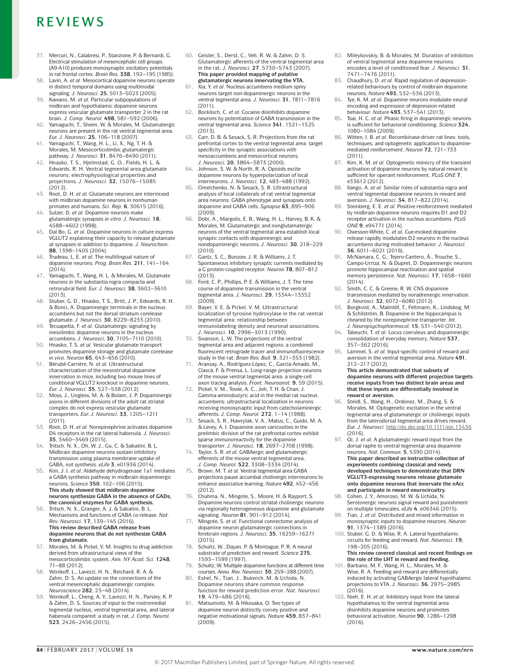- 37. Mercuri, N., Calabresi, P., Stanzione, P. & Bernardi, G. Electrical stimulation of mesencephalic cell groups (A9-A10) produces monosynaptic excitatory potentials in rat frontal cortex. *Brain Res.* **338**, 192–195 (1985).
- 38. Lavin, A. *et al.* Mesocortical dopamine neurons operate in distinct temporal domains using multimodal signaling. *J. Neurosci.* **25**, 5013–5023 (2005).
- 39. Kawano, M. *et al.* Particular subpopulations of midbrain and hypothalamic dopamine neurons express vesicular glutamate transporter 2 in the rat brain. *J. Comp. Neurol.* **498**, 581–592 (2006).
- 40. Yamaguchi, T., Sheen, W. & Morales, M. Glutamatergic neurons are present in the rat ventral tegmental area.
- *Eur. J. Neurosci.* **25**, 106–118 (2007). 41. Yamaguchi, T., Wang, H. L., Li, X., Ng, T. H. & Morales, M. Mesocorticolimbic glutamatergi pathway. *J. Neurosci.* **31**, 8476–8490 (2011).
- 42. Hnasko, T. S., Hjelmstad, G. O., Fields, H. L. & Edwards, R. H. Ventral tegmental area glutamate neurons: electrophysiological properties and projections. *J. Neurosci.* **32**, 15076–15085  $(2012)$
- 43. Root, D. H. *et al.* Glutamate neurons are intermixed with midbrain dopamine neurons in nonhuman primates and humans. *Sci. Rep.* **6**, 30615 (2016).
- 44. Sulzer, D. *et al.* Dopamine neurons make glutamatergic synapses *in vitro. J. Neurosci.* **18**, 4588–4602 (1998).
- 45. Dal Bo, G. *et al.* Dopamine neurons in culture express VGLUT2 explaining their capacity to release glutamate at synapses in addition to dopamine. *J. Neurochem.*  **88**, 1398–1405 (2004).
- 46. Trudeau, L. E. *et al.* The multilingual nature of dopamine neurons. *Prog. Brain Res.* **211**, 141–164 (2014).
- 47. Yamaguchi, T., Wang, H. L. & Morales, M. Glutamate neurons in the substantia nigra compacta and retrorubral field. *Eur. J. Neurosci.* **38**, 3602–3610 (2013).
- 48. Stuber, G. D., Hnasko, T. S., Britt, J. P., Edwards, R. H. & Bonci, A. Dopaminergic terminals in the nucleus accumbens but not the dorsal striatum corelease glutamate. *J. Neurosci.* **30**, 8229–8233 (2010).
- Tecuapetla, F. et al. Glutamatergic signaling by mesolimbic dopamine neurons in the nucleus accumbens. *J. Neurosci.* **30**, 7105–7110 (2010).
- 50. Hnasko, T. S. *et al.* Vesicular glutamate transport promotes dopamine storage and glutamate corelease *in vivo. Neuron* **65**, 643–656 (2010).
- 51. Bérubé-Carrière, N. *et al.* Ultrastructural characterization of the mesostriatal dopamine innervation in mice, including two mouse lines of conditional VGLUT2 knockout in dopamine neurons. *Eur. J. Neurosci.* **35**, 527–538 (2012).
- 52. Moss, J., Ungless, M. A. & Bolam, J. P. Dopaminergic axons in different divisions of the adult rat striatal complex do not express vesicular glutamate transporters. *Eur. J. Neurosci.* **33**, 1205–1211  $(2011)$
- 53. Root, D. H. *et al.* Norepinephrine activates dopamine D4 receptors in the rat lateral habenula. *J. Neurosci.*  **35**, 3460–3469 (2015).
- 54. Tritsch, N. X., Oh, W. J., Gu, C. & Sabatini, B. L. Midbrain dopamine neurons sustain inhibitory transmission using plasma membrane uptake of GABA, not synthesis. *eLife* **3**, e01936 (2014).
- 55. Kim, J. I. *et al.* Aldehyde dehydrogenase 1a1 mediates a GABA synthesis pathway in midbrain dopaminergic neurons. *Science* **350**, 102–106 (2015). **This study showed that midbrain dopamine neurons synthesize GABA in the absence of GADs, the canonical enzymes for GABA synthesis.**
- 56. Tritsch, N. X., Granger, A. J. & Sabatini, B. L. Mechanisms and functions of GABA co-release. *Nat. Rev. Neurosci.* **17**, 139–145 (2016). **This review described GABA release from dopamine neurons that do not synthesize GABA from glutamate.**
- 57. Morales, M. & Pickel, V. M. Insights to drug addiction derived from ultrastructural views of the mesocorticolimbic system. *Ann. NY Acad. Sci.* **1248**, 71–88 (2012).
- 58. Yetnikoff, L., Lavezzi, H. N., Reichard, R. A. & Zahm, D. S. An update on the connections of the ventral mesencephalic dopaminergic complex. *Neuroscience* **282**, 23–48 (2014).
- 59. Yetnikoff, L., Cheng, A. Y., Lavezzi, H. N., Parsley, K. P. & Zahm, D. S. Sources of input to the rostromedial tegmental nucleus, ventral tegmental area, and lateral habenula compared: a study in rat. *J. Comp. Neurol.*  **523**, 2426–2456 (2015).
- 60. Geisler, S., Derst, C., Veh, R. W. & Zahm, D. S. Glutamatergic afferents of the ventral tegmental area in the rat. *J. Neurosci.* **27**, 5730–5743 (2007). **This paper provided mapping of putative glutamatergic neurons innervating the VTA.**
- 61. Xia, Y. *et al.* Nucleus accumbens medium spiny neurons target non-dopaminergic neurons in the ventral tegmental area. *J. Neurosci.* **31**, 7811–7816  $(2011)$
- 62. Bocklisch, C. *et al.* Cocaine disinhibits dopamine neurons by potentiation of GABA transmission in the ventral tegmental area. *Science* **341**, 1521–1525  $(2013)$
- 63. Carr, D. B. & Sesack, S. R. Projections from the rat prefrontal cortex to the ventral tegmental area: target specificity in the synaptic associations with mesoaccumbens and mesocortical neurons. *J. Neurosci.* **20**, 3864–3873 (2000).
- 64. Johnson, S. W. & North, R. A. Opioids excite dopamine neurons by hyperpolarization of local interneurons. *J. Neurosci.* **12**, 483–488 (1992).
- 65. Omelchenko, N. & Sesack, S. R. Ultrastructural analysis of local collaterals of rat ventral tegmental area neurons: GABA phenotype and synapses onto dopamine and GABA cells. *Synapse* **63**, 895–906 (2009).
- 66. Dobi, A., Margolis, E. B., Wang, H. L., Harvey, B. K. & Morales, M. Glutamatergic and nonglutamatergic neurons of the ventral tegmental area establish local synaptic contacts with dopaminergic and nondopaminergic neurons. *J. Neurosci.* **30**, 218–229 (2010).
- 67. Gantz, S. C., Bunzow, J. R. & Williams, J. T. Spontaneous inhibitory synaptic currents mediated by a G protein-coupled receptor. *Neuron* **78**, 807–812  $(2013)$
- 68. Ford, C. P., Phillips, P. E. & Williams, J. T. The time course of dopamine transmission in the ventral tegmental area. *J. Neurosci.* **29**, 13344–13352 (2009).
- 69. Bayer, V. E. & Pickel, V. M. Ultrastructural localization of tyrosine hydroxylase in the rat ventral tegmental area: relationship between immunolabeling density and neuronal associations. *J. Neurosci.* **10**, 2996–3013 (1990).
- 70. Swanson, L. W. The projections of the ventral tegmental area and adjacent regions: a combined fluorescent retrograde tracer and immunofluorescence study in the rat. *Brain Res. Bull.* **9**, 321–353 (1982).
- Aransay, A., Rodríguez-López, C., García-Amado, M., Clascá, F. & Prensa, L. Long-range projection neurons of the mouse ventral tegmental area: a single-cell
- axon tracing analysis. *Front. Neuroanat.* **9**, 59 (2015). 72. Pickel, V. M., Towle, A. C., Joh, T. H. & Chan, J. Gamma-aminobutyric acid in the medial rat nucleus accumbens: ultrastructural localization in neurons receiving monosynaptic input from catecholaminergic
- afferents. *J. Comp. Neurol.* **272**, 1–14 (1988).<br>73. Sesack, S. R., Hawrylak, V. A., Matus, C., Guido, M. A.<br>& Levey, A. I. Dopamine axon varicosities in the prelimbic division of the rat prefrontal cortex exhibit sparse immunoreactivity for the dopamine transporter. *J. Neurosci.* **18**, 2697–2708 (1998).
- 74. Taylor, S. R. *et al.* GABAergic and glutamatergic efferents of the mouse ventral tegmental area. *J. Comp. Neurol.* **522**, 3308–3334 (2014).
- Brown, M. T. *et al.* Ventral tegmental area GABA projections pause accumbal cholinergic interneurons to enhance associative learning. *Nature* **492**, 452–456 (2012).
- 76. Chuhma, N., Mingote, S., Moore, H. & Rayport, S. Dopamine neurons control striatal cholinergic neurons via regionally heterogeneous dopamine and glutamate signaling. *Neuron* **81**, 901–912 (2014).
- 77. Mingote, S. *et al.* Functional connectome analysis of dopamine neuron glutamatergic connections in forebrain regions. *J. Neurosci.* **35**, 16259–16271  $(2015)$
- 78. Schultz, W., Dayan, P. & Montague, P. R. A neural substrate of prediction and reward. *Science* **275**, 1593–1599 (1997).
- 79. Schultz, W. Multiple dopamine functions at different time courses. *Annu. Rev. Neurosci.* **30**, 259–288 (2007).
- 80. Eshel, N., Tian, J., Bukwich, M. & Uchida, N. Dopamine neurons share common response function for reward prediction error. *Nat. Neurosci.*  **19**, 479–486 (2016). 81. Matsumoto, M. & Hikosaka, O. Two types of
- dopamine neuron distinctly convey positive and negative motivational signals. *Nature* **459**, 837–841 (2009).
- 82. Mileykovskiy, B. & Morales, M. Duration of inhibition of ventral tegmental area dopamine neurons encodes a level of conditioned fear. *J. Neurosci.* **31**, 7471–7476 (2011).
- 83. Chaudhury, D. *et al.* Rapid regulation of depressionrelated behaviours by control of midbrain dopamine neurons. *Nature* **493**, 532–536 (2013).
- 84. Tye, K. M. *et al.* Dopamine neurons modulate neural encoding and expression of depression-related behaviour. *Nature* **493**, 537–541 (2013).
- 85. Tsai, H. C. *et al.* Phasic firing in dopaminergic neurons is sufficient for behavioral conditioning. *Science* **324**, 1080–1084 (2009).
- 86. Witten, I. B. *et al.* Recombinase-driver rat lines: tools, techniques, and optogenetic application to dopaminemediated reinforcement. *Neuron* **72**, 721–733 (2011).
- 87. Kim, K. M. *et al.* Optogenetic mimicry of the transient activation of dopamine neurons by natural reward is sufficient for operant reinforcement. *PLoS ONE* **7**, e33612 (2012).
- 88. Ilango, A. *et al.* Similar roles of substantia nigra and ventral tegmental dopamine neurons in reward and aversion. *J. Neurosci.* **34**, 817–822 (2014).
- 89. Steinberg, E. E. *et al.* Positive reinforcement mediated by midbrain dopamine neurons requires D1 and D2 receptor activation in the nucleus accumbens. *PLoS ONE* **9**, e94771 (2014).
- 90. Owesson-White, C. *et al.* Cue-evoked dopamine release rapidly modulates D2 neurons in the nucleus accumbens during motivated behavior. *J. Neurosci.*
- **36**, 6011–6021 (2016). 91. McNamara, C. G., Tejero-Cantero, Á., Trouche, S., Campo-Urriza, N. & Dupret, D. Dopaminergic neurons promote hippocampal reactivation and spatial memory persistence. *Nat. Neurosci.* **17**, 1658–1660  $(2014)$
- Smith, C. C. & Greene, R. W. CNS dopamine transmission mediated by noradrenergic innervation. *J. Neurosci.* **32**, 6072–6080 (2012).
- Borgkvist, A., Malmlöf, T., Feltmann, K., Lindskog, M. & Schilström, B. Dopamine in the hippocampus is cheared by the norepinephrine transporter. *Int. J. Neuropsychopharmacol.* **15**, 531–540 (2012).
- 94. Takeuchi, T. *et al.* Locus coeruleus and dopaminergic consolidation of everyday memory. *Nature* **537**, 357–362 (2016).
- 95. Lammel, S. *et al.* Input-specific control of reward and aversion in the ventral tegmental area. *Nature* **491**, 212–217 (2012).

**This article demonstrated that subsets of dopamine neurons with different projection targets receive inputs from two distinct brain areas and that these inputs are differentially involved in reward or aversion.**

- 96. Steidl, S., Wang, H., Ordonez, M., Zhang, S. & Morales, M. Optogenetic excitation in the ventral tegmental area of glutamatergic or cholinergic inputs from the laterodorsal tegmental area drives reward. *Eur. J. Neurosci.* <http://dx.doi.org/10.1111/ejn.13436> (2016).
- 97. Qi, J. *et al.* A glutamatergic reward input from the dorsal raphe to ventral tegmental area dopamine neurons. *Nat. Commun.* **5**, 5390 (2014). **This paper described an instructive collection of experiments combining classical and newly developed techniques to demonstrate that DRN VGLUT3-expressing neurons release glutamate onto dopamine neurons that innervate the nAcc and participate in reward neurocircuitry.**
- 98. Cohen, J. Y., Amoroso, M. W. & Uchida, N. Serotonergic neurons signal reward and punishment on multiple timescales. *eLife* **4**, e06346 (2015).
- 99. Tian, J. *et al.* Distributed and mixed information in monosynaptic inputs to dopamine neurons. *Neuron*  **91**, 1374–1389 (2016).
- 100. Stuber, G. D. & Wise, R. A. Lateral hypothalamic circuits for feeding and reward. *Nat. Neurosci.* **19**, 198–205 (2016). **This review covered classical and recent findings on**
- **the role of the LHT in reward and feeding.** 101. Barbano, M. F., Wang, H. L., Morales, M. & Wise, R. A. Feeding and reward are differentially induced by activating GABAergic lateral hypothalamic
- projections to VTA. *J. Neurosci.* **36**, 2975–2985 (2016). 102. Nieh, E. H. *et al.* Inhibitory input from the lateral
- hypothalamus to the ventral tegmental area disinhibits dopamine neurons and promotes behavioral activation. *Neuron* **90**, 1286–1298 (2016).